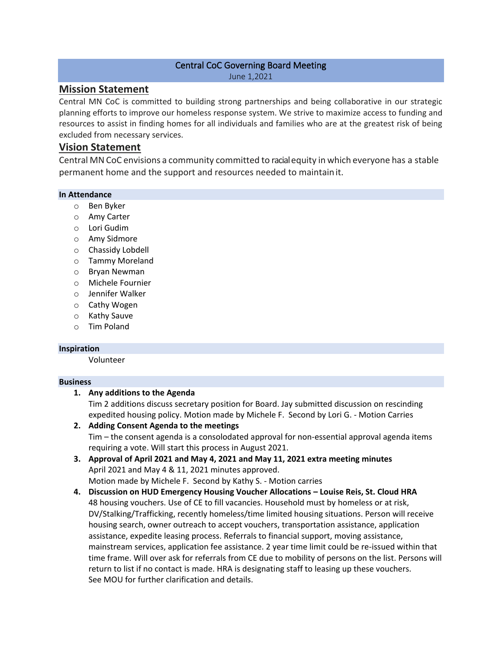#### Central CoC Governing Board Meeting June 1,2021

## **Mission Statement**

Central MN CoC is committed to building strong partnerships and being collaborative in our strategic planning efforts to improve our homeless response system. We strive to maximize access to funding and resources to assist in finding homes for all individuals and families who are at the greatest risk of being excluded from necessary services.

## **Vision Statement**

Central MNCoC envisions a community committed to racialequity in which everyone has a stable permanent home and the support and resources needed to maintainit.

#### **In Attendance**

- o Ben Byker
- o Amy Carter
- $\circ$  Lori Gudim
- o Amy Sidmore
- o Chassidy Lobdell
- o Tammy Moreland
- o Bryan Newman
- o Michele Fournier
- o Jennifer Walker
- o Cathy Wogen
- o Kathy Sauve
- o Tim Poland

#### **Inspiration**

Volunteer

#### **Business**

## **1. Any additions to the Agenda**

Tim 2 additions discuss secretary position for Board. Jay submitted discussion on rescinding expedited housing policy. Motion made by Michele F. Second by Lori G. - Motion Carries

- **2. Adding Consent Agenda to the meetings** Tim – the consent agenda is a consolodated approval for non-essential approval agenda items requiring a vote. Will start this process in August 2021.
- **3. Approval of April 2021 and May 4, 2021 and May 11, 2021 extra meeting minutes**  April 2021 and May 4 & 11, 2021 minutes approved. Motion made by Michele F. Second by Kathy S. - Motion carries
- **4. Discussion on HUD Emergency Housing Voucher Allocations – Louise Reis, St. Cloud HRA** 48 housing vouchers. Use of CE to fill vacancies. Household must by homeless or at risk, DV/Stalking/Trafficking, recently homeless/time limited housing situations. Person will receive housing search, owner outreach to accept vouchers, transportation assistance, application assistance, expedite leasing process. Referrals to financial support, moving assistance, mainstream services, application fee assistance. 2 year time limit could be re-issued within that time frame. Will over ask for referrals from CE due to mobility of persons on the list. Persons will return to list if no contact is made. HRA is designating staff to leasing up these vouchers. See MOU for further clarification and details.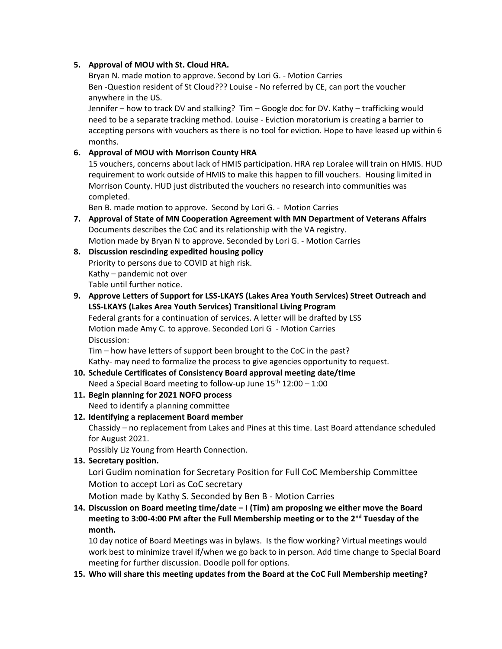### **5. Approval of MOU with St. Cloud HRA.**

Bryan N. made motion to approve. Second by Lori G. - Motion Carries Ben -Question resident of St Cloud??? Louise - No referred by CE, can port the voucher anywhere in the US.

Jennifer – how to track DV and stalking? Tim – Google doc for DV. Kathy – trafficking would need to be a separate tracking method. Louise - Eviction moratorium is creating a barrier to accepting persons with vouchers as there is no tool for eviction. Hope to have leased up within 6 months.

## **6. Approval of MOU with Morrison County HRA**

15 vouchers, concerns about lack of HMIS participation. HRA rep Loralee will train on HMIS. HUD requirement to work outside of HMIS to make this happen to fill vouchers. Housing limited in Morrison County. HUD just distributed the vouchers no research into communities was completed.

Ben B. made motion to approve. Second by Lori G. - Motion Carries

- **7. Approval of State of MN Cooperation Agreement with MN Department of Veterans Affairs** Documents describes the CoC and its relationship with the VA registry. Motion made by Bryan N to approve. Seconded by Lori G. - Motion Carries
- **8. Discussion rescinding expedited housing policy** Priority to persons due to COVID at high risk. Kathy – pandemic not over Table until further notice.
- **9. Approve Letters of Support for LSS-LKAYS (Lakes Area Youth Services) Street Outreach and LSS-LKAYS (Lakes Area Youth Services) Transitional Living Program** Federal grants for a continuation of services. A letter will be drafted by LSS Motion made Amy C. to approve. Seconded Lori G - Motion Carries

Discussion:

Tim – how have letters of support been brought to the CoC in the past? Kathy- may need to formalize the process to give agencies opportunity to request.

# **10. Schedule Certificates of Consistency Board approval meeting date/time**

Need a Special Board meeting to follow-up June  $15<sup>th</sup> 12:00 - 1:00$ 

- **11. Begin planning for 2021 NOFO process** Need to identify a planning committee
- **12. Identifying a replacement Board member** Chassidy – no replacement from Lakes and Pines at this time. Last Board attendance scheduled for August 2021.

Possibly Liz Young from Hearth Connection.

**13. Secretary position.** 

Lori Gudim nomination for Secretary Position for Full CoC Membership Committee Motion to accept Lori as CoC secretary

Motion made by Kathy S. Seconded by Ben B - Motion Carries

**14. Discussion on Board meeting time/date – I (Tim) am proposing we either move the Board meeting to 3:00-4:00 PM after the Full Membership meeting or to the 2nd Tuesday of the month.**

10 day notice of Board Meetings was in bylaws. Is the flow working? Virtual meetings would work best to minimize travel if/when we go back to in person. Add time change to Special Board meeting for further discussion. Doodle poll for options.

**15. Who will share this meeting updates from the Board at the CoC Full Membership meeting?**